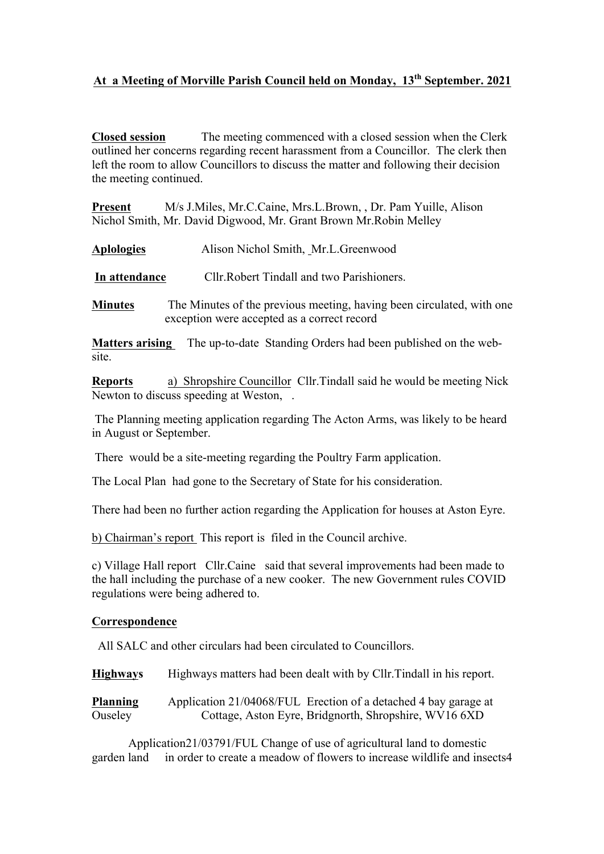## **At a Meeting of Morville Parish Council held on Monday, 13th September. 2021**

**Closed session** The meeting commenced with a closed session when the Clerk outlined her concerns regarding recent harassment from a Councillor. The clerk then left the room to allow Councillors to discuss the matter and following their decision the meeting continued.

**Present** M/s J.Miles, Mr.C.Caine, Mrs.L.Brown, , Dr. Pam Yuille, Alison Nichol Smith, Mr. David Digwood, Mr. Grant Brown Mr.Robin Melley

**Aplologies** Alison Nichol Smith, Mr.L.Greenwood

**In attendance** Cllr.Robert Tindall and two Parishioners.

**Minutes** The Minutes of the previous meeting, having been circulated, with one exception were accepted as a correct record

**Matters arising**The up-to-date Standing Orders had been published on the website.

**Reports** a) Shropshire Councillor Cllr.Tindall said he would be meeting Nick Newton to discuss speeding at Weston, .

The Planning meeting application regarding The Acton Arms, was likely to be heard in August or September.

There would be a site-meeting regarding the Poultry Farm application.

The Local Plan had gone to the Secretary of State for his consideration.

There had been no further action regarding the Application for houses at Aston Eyre.

b) Chairman's report This report is filed in the Council archive.

c) Village Hall report Cllr.Caine said that several improvements had been made to the hall including the purchase of a new cooker. The new Government rules COVID regulations were being adhered to.

## **Correspondence**

All SALC and other circulars had been circulated to Councillors.

**Highways** Highways matters had been dealt with by Cllr.Tindall in his report.

**Planning** Application 21/04068/FUL Erection of a detached 4 bay garage at Ouseley Cottage, Aston Eyre, Bridgnorth, Shropshire, WV16 6XD

Application21/03791/FUL Change of use of agricultural land to domestic garden land in order to create a meadow of flowers to increase wildlife and insects4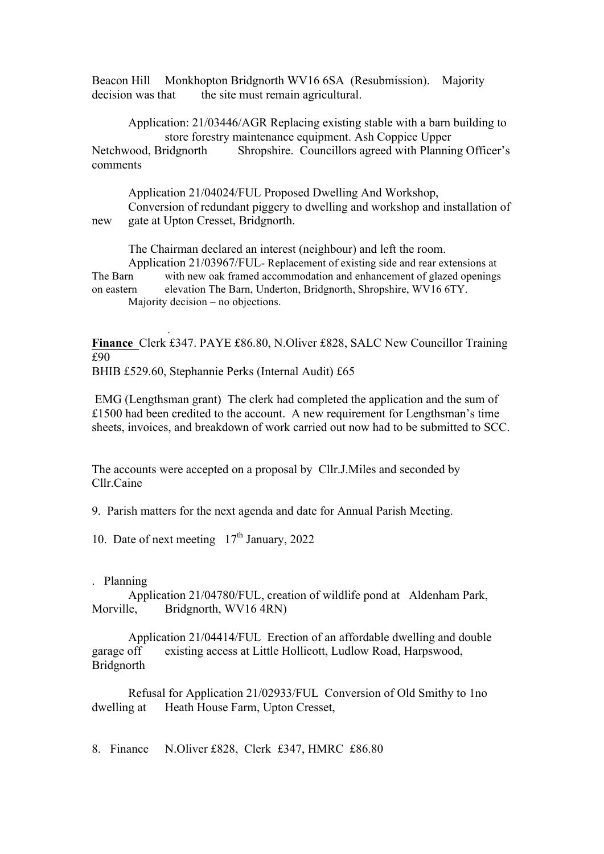Beacon Hill Monkhopton Bridgnorth WV16 6SA (Resubmission). Majority decision was that the site must remain agricultural.

Application: 21/03446/AGR Replacing existing stable with a barn building to store forestry maintenance equipment. Ash Coppice Upper Netchwood, Bridgnorth Shropshire. Councillors agreed with Planning Officer's comments

Application 21/04024/FUL Proposed Dwelling And Workshop, Conversion of redundant piggery to dwelling and workshop and installation of new gate at Upton Cresset, Bridgnorth.

The Chairman declared an interest (neighbour) and left the room.

Application 21/03967/FUL- Replacement of existing side and rear extensions at The Barn with new oak framed accommodation and enhancement of glazed openings on eastern elevation The Barn, Underton, Bridgnorth, Shropshire, WV16 6TY. Majority decision – no objections.

**Finance** Clerk £347. PAYE £86.80, N.Oliver £828, SALC New Councillor Training £90 BHIB £529.60, Stephannie Perks (Internal Audit) £65

EMG (Lengthsman grant) The clerk had completed the application and the sum of £1500 had been credited to the account. A new requirement for Lengthsman's time sheets, invoices, and breakdown of work carried out now had to be submitted to SCC.

The accounts were accepted on a proposal by Cllr.J.Miles and seconded by Cllr.Caine

9. Parish matters for the next agenda and date for Annual Parish Meeting.

10. Date of next meeting  $17<sup>th</sup>$  January, 2022

## . Planning

 *.*

Application 21/04780/FUL, creation of wildlife pond at Aldenham Park, Morville, Bridgnorth, WV16 4RN)

 Application 21/04414/FUL Erection of an affordable dwelling and double garage off existing access at Little Hollicott, Ludlow Road, Harpswood, Bridgnorth

Refusal for Application 21/02933/FUL Conversion of Old Smithy to 1no dwelling at Heath House Farm, Upton Cresset,

8. Finance N.Oliver £828, Clerk £347, HMRC £86.80